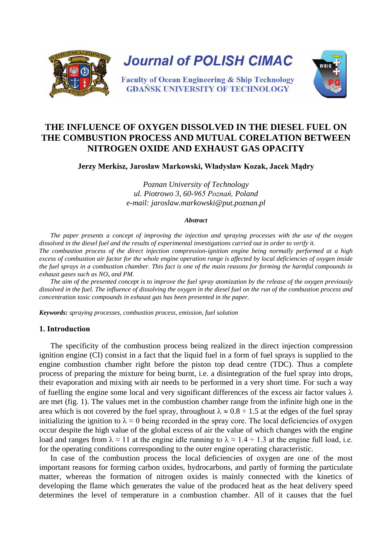

# **THE INFLUENCE OF OXYGEN DISSOLVED IN THE DIESEL FUEL ON THE COMBUSTION PROCESS AND MUTUAL CORELATION BETWEEN NITROGEN OXIDE AND EXHAUST GAS OPACITY**

## **Jerzy Merkisz, Jarosław Markowski, Władysław Kozak, Jacek Mądry**

*Poznan University of Technology ul. Piotrowo 3, 60-965 Poznań, Poland e-mail: jaroslaw.markowski@put.poznan.pl* 

#### *Abstract*

*The paper presents a concept of improving the injection and spraying processes with the use of the oxygen dissolved in the diesel fuel and the results of experimental investigations carried out in order to verify it. The combustion process of the direct injection compression-ignition engine being normally performed at a high excess of combustion air factor for the whole engine operation range is affected by local deficiencies of oxygen inside the fuel sprays in a combustion chamber. This fact is one of the main reasons for forming the harmful compounds in exhaust gases such as NOx and PM.* 

*The aim of the presented concept is to improve the fuel spray atomization by the release of the oxygen previously dissolved in the fuel. The influence of dissolving the oxygen in the diesel fuel on the run of the combustion process and concentration toxic compounds in exhaust gas has been presented in the paper.* 

*Keywords: spraying processes, combustion process, emission, fuel solution*

## **1. Introduction**

The specificity of the combustion process being realized in the direct injection compression ignition engine (CI) consist in a fact that the liquid fuel in a form of fuel sprays is supplied to the engine combustion chamber right before the piston top dead centre (TDC). Thus a complete process of preparing the mixture for being burnt, i.e. a disintegration of the fuel spray into drops, their evaporation and mixing with air needs to be performed in a very short time. For such a way of fuelling the engine some local and very significant differences of the excess air factor values  $\lambda$ are met (fig. 1). The values met in the combustion chamber range from the infinite high one in the area which is not covered by the fuel spray, throughout  $\lambda \approx 0.8 \div 1.5$  at the edges of the fuel spray initializing the ignition to  $\lambda \approx 0$  being recorded in the spray core. The local deficiencies of oxygen occur despite the high value of the global excess of air the value of which changes with the engine load and ranges from  $\lambda \approx 11$  at the engine idle running to  $\lambda \approx 1.4 \div 1.3$  at the engine full load, i.e. for the operating conditions corresponding to the outer engine operating characteristic.

In case of the combustion process the local deficiencies of oxygen are one of the most important reasons for forming carbon oxides, hydrocarbons, and partly of forming the particulate matter, whereas the formation of nitrogen oxides is mainly connected with the kinetics of developing the flame which generates the value of the produced heat as the heat delivery speed determines the level of temperature in a combustion chamber. All of it causes that the fuel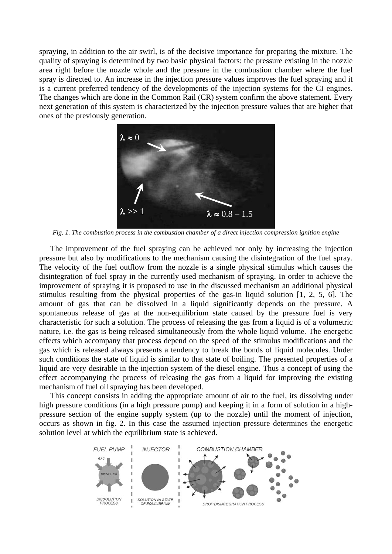spraying, in addition to the air swirl, is of the decisive importance for preparing the mixture. The quality of spraying is determined by two basic physical factors: the pressure existing in the nozzle area right before the nozzle whole and the pressure in the combustion chamber where the fuel spray is directed to. An increase in the injection pressure values improves the fuel spraying and it is a current preferred tendency of the developments of the injection systems for the CI engines. The changes which are done in the Common Rail (CR) system confirm the above statement. Every next generation of this system is characterized by the injection pressure values that are higher that ones of the previously generation.



*Fig. 1. The combustion process in the combustion chamber of a direct injection compression ignition engine* 

The improvement of the fuel spraying can be achieved not only by increasing the injection pressure but also by modifications to the mechanism causing the disintegration of the fuel spray. The velocity of the fuel outflow from the nozzle is a single physical stimulus which causes the disintegration of fuel spray in the currently used mechanism of spraying. In order to achieve the improvement of spraying it is proposed to use in the discussed mechanism an additional physical stimulus resulting from the physical properties of the gas-in liquid solution [1, 2, 5, 6]. The amount of gas that can be dissolved in a liquid significantly depends on the pressure. A spontaneous release of gas at the non-equilibrium state caused by the pressure fuel is very characteristic for such a solution. The process of releasing the gas from a liquid is of a volumetric nature, i.e. the gas is being released simultaneously from the whole liquid volume. The energetic effects which accompany that process depend on the speed of the stimulus modifications and the gas which is released always presents a tendency to break the bonds of liquid molecules. Under such conditions the state of liquid is similar to that state of boiling. The presented properties of a liquid are very desirable in the injection system of the diesel engine. Thus a concept of using the effect accompanying the process of releasing the gas from a liquid for improving the existing mechanism of fuel oil spraying has been developed.

This concept consists in adding the appropriate amount of air to the fuel, its dissolving under high pressure conditions (in a high pressure pump) and keeping it in a form of solution in a highpressure section of the engine supply system (up to the nozzle) until the moment of injection, occurs as shown in fig. 2. In this case the assumed injection pressure determines the energetic solution level at which the equilibrium state is achieved.

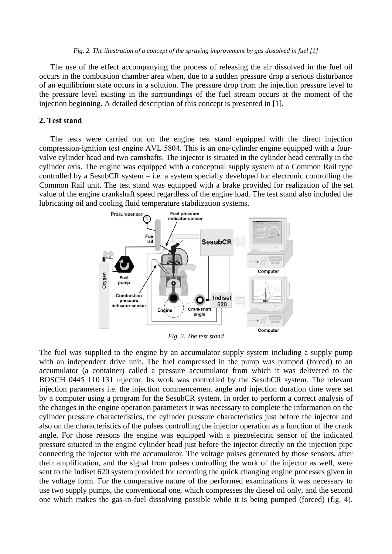#### *Fig. 2. The illustration of a concept of the spraying improvement by gas dissolved in fuel [1]*

The use of the effect accompanying the process of releasing the air dissolved in the fuel oil occurs in the combustion chamber area when, due to a sudden pressure drop a serious disturbance of an equilibrium state occurs in a solution. The pressure drop from the injection pressure level to the pressure level existing in the surroundings of the fuel stream occurs at the moment of the injection beginning. A detailed description of this concept is presented in [1].

#### **2. Test stand**

The tests were carried out on the engine test stand equipped with the direct injection compression-ignition test engine AVL 5804. This is an one-cylinder engine equipped with a fourvalve cylinder head and two camshafts. The injector is situated in the cylinder head centrally in the cylinder axis. The engine was equipped with a conceptual supply system of a Common Rail type controlled by a SesubCR system – i.e. a system specially developed for electronic controlling the Common Rail unit. The test stand was equipped with a brake provided for realization of the set value of the engine crankshaft speed regardless of the engine load. The test stand also included the lubricating oil and cooling fluid temperature stabilization systems.



*Fig. 3. The test stand*

The fuel was supplied to the engine by an accumulator supply system including a supply pump with an independent drive unit. The fuel compressed in the pump was pumped (forced) to an accumulator (a container) called a pressure accumulator from which it was delivered to the BOSCH 0445 110 131 injector. Its work was controlled by the SesubCR system. The relevant injection parameters i.e. the injection commencement angle and injection duration time were set by a computer using a program for the SesubCR system. In order to perform a correct analysis of the changes in the engine operation parameters it was necessary to complete the information on the cylinder pressure characteristics, the cylinder pressure characteristics just before the injector and also on the characteristics of the pulses controlling the injector operation as a function of the crank angle. For those reasons the engine was equipped with a piezoelectric sensor of the indicated pressure situated in the engine cylinder head just before the injector directly on the injection pipe connecting the injector with the accumulator. The voltage pulses generated by those sensors, after their amplification, and the signal from pulses controlling the work of the injector as well, were sent to the Indiset 620 system provided for recording the quick changing engine processes given in the voltage form. For the comparative nature of the performed examinations it was necessary to use two supply pumps, the conventional one, which compresses the diesel oil only, and the second one which makes the gas-in-fuel dissolving possible while it is being pumped (forced) (fig. 4).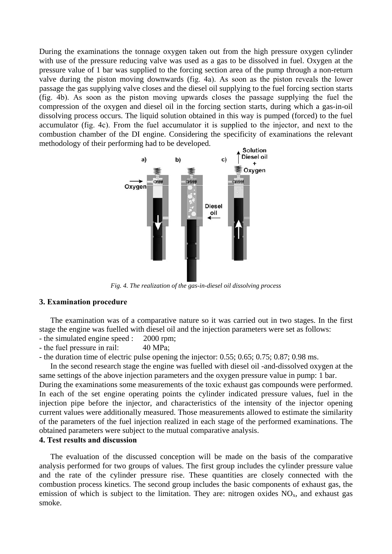During the examinations the tonnage oxygen taken out from the high pressure oxygen cylinder with use of the pressure reducing valve was used as a gas to be dissolved in fuel. Oxygen at the pressure value of 1 bar was supplied to the forcing section area of the pump through a non-return valve during the piston moving downwards (fig. 4a). As soon as the piston reveals the lower passage the gas supplying valve closes and the diesel oil supplying to the fuel forcing section starts (fig. 4b). As soon as the piston moving upwards closes the passage supplying the fuel the compression of the oxygen and diesel oil in the forcing section starts, during which a gas-in-oil dissolving process occurs. The liquid solution obtained in this way is pumped (forced) to the fuel accumulator (fig. 4c). From the fuel accumulator it is supplied to the injector, and next to the combustion chamber of the DI engine. Considering the specificity of examinations the relevant methodology of their performing had to be developed.



*Fig. 4. The realization of the gas-in-diesel oil dissolving process*

## **3. Examination procedure**

The examination was of a comparative nature so it was carried out in two stages. In the first stage the engine was fuelled with diesel oil and the injection parameters were set as follows:

- the simulated engine speed : 2000 rpm;

- the fuel pressure in rail: 40 MPa;

- the duration time of electric pulse opening the injector: 0.55; 0.65; 0.75; 0.87; 0.98 ms.

In the second research stage the engine was fuelled with diesel oil -and-dissolved oxygen at the same settings of the above injection parameters and the oxygen pressure value in pump: 1 bar. During the examinations some measurements of the toxic exhaust gas compounds were performed. In each of the set engine operating points the cylinder indicated pressure values, fuel in the injection pipe before the injector, and characteristics of the intensity of the injector opening current values were additionally measured. Those measurements allowed to estimate the similarity of the parameters of the fuel injection realized in each stage of the performed examinations. The

obtained parameters were subject to the mutual comparative analysis.

## **4. Test results and discussion**

The evaluation of the discussed conception will be made on the basis of the comparative analysis performed for two groups of values. The first group includes the cylinder pressure value and the rate of the cylinder pressure rise. These quantities are closely connected with the combustion process kinetics. The second group includes the basic components of exhaust gas, the emission of which is subject to the limitation. They are: nitrogen oxides  $NO<sub>x</sub>$ , and exhaust gas smoke.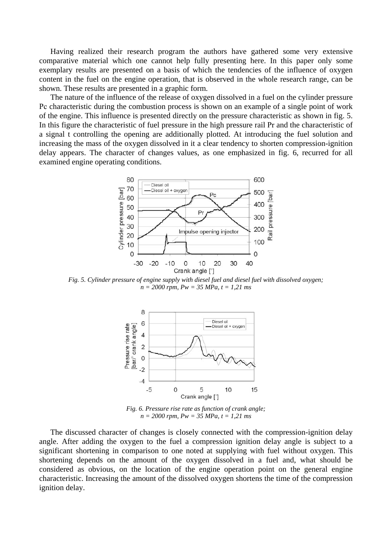Having realized their research program the authors have gathered some very extensive comparative material which one cannot help fully presenting here. In this paper only some exemplary results are presented on a basis of which the tendencies of the influence of oxygen content in the fuel on the engine operation, that is observed in the whole research range, can be shown. These results are presented in a graphic form.

The nature of the influence of the release of oxygen dissolved in a fuel on the cylinder pressure Pc characteristic during the combustion process is shown on an example of a single point of work of the engine. This influence is presented directly on the pressure characteristic as shown in fig. 5. In this figure the characteristic of fuel pressure in the high pressure rail Pr and the characteristic of a signal t controlling the opening are additionally plotted. At introducing the fuel solution and increasing the mass of the oxygen dissolved in it a clear tendency to shorten compression-ignition delay appears. The character of changes values, as one emphasized in fig. 6, recurred for all examined engine operating conditions.



*Fig. 5. Cylinder pressure of engine supply with diesel fuel and diesel fuel with dissolved oxygen; n = 2000 rpm, Pw = 35 MPa, t = 1,21 ms*



*Fig. 6. Pressure rise rate as function of crank angle; n = 2000 rpm, Pw = 35 MPa, t = 1,21 ms*

The discussed character of changes is closely connected with the compression-ignition delay angle. After adding the oxygen to the fuel a compression ignition delay angle is subject to a significant shortening in comparison to one noted at supplying with fuel without oxygen. This shortening depends on the amount of the oxygen dissolved in a fuel and, what should be considered as obvious, on the location of the engine operation point on the general engine characteristic. Increasing the amount of the dissolved oxygen shortens the time of the compression ignition delay.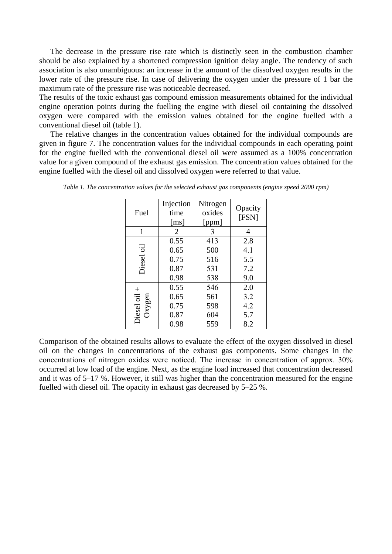The decrease in the pressure rise rate which is distinctly seen in the combustion chamber should be also explained by a shortened compression ignition delay angle. The tendency of such association is also unambiguous: an increase in the amount of the dissolved oxygen results in the lower rate of the pressure rise. In case of delivering the oxygen under the pressure of 1 bar the maximum rate of the pressure rise was noticeable decreased.

The results of the toxic exhaust gas compound emission measurements obtained for the individual engine operation points during the fuelling the engine with diesel oil containing the dissolved oxygen were compared with the emission values obtained for the engine fuelled with a conventional diesel oil (table 1).

The relative changes in the concentration values obtained for the individual compounds are given in figure 7. The concentration values for the individual compounds in each operating point for the engine fuelled with the conventional diesel oil were assumed as a 100% concentration value for a given compound of the exhaust gas emission. The concentration values obtained for the engine fuelled with the diesel oil and dissolved oxygen were referred to that value.

| Fuel                          | Injection<br>time<br>$\lceil ms \rceil$ | Nitrogen<br>oxides<br>[ppm] | Opacity<br>[FSN] |
|-------------------------------|-----------------------------------------|-----------------------------|------------------|
| 1                             | 2                                       | 3                           | 4                |
| $\overline{\sigma}$<br>Diesel | 0.55                                    | 413                         | 2.8              |
|                               | 0.65                                    | 500                         | 4.1              |
|                               | 0.75                                    | 516                         | 5.5              |
|                               | 0.87                                    | 531                         | 7.2              |
|                               | 0.98                                    | 538                         | 9.0              |
| $^+$<br>Diesel oil<br>Oxygen  | 0.55                                    | 546                         | 2.0              |
|                               | 0.65                                    | 561                         | 3.2              |
|                               | 0.75                                    | 598                         | 4.2              |
|                               | 0.87                                    | 604                         | 5.7              |
|                               | 0.98                                    | 559                         | 8.2              |

*Table 1. The concentration values for the selected exhaust gas components (engine speed 2000 rpm)*

Comparison of the obtained results allows to evaluate the effect of the oxygen dissolved in diesel oil on the changes in concentrations of the exhaust gas components. Some changes in the concentrations of nitrogen oxides were noticed. The increase in concentration of approx. 30% occurred at low load of the engine. Next, as the engine load increased that concentration decreased and it was of 5–17 %. However, it still was higher than the concentration measured for the engine fuelled with diesel oil. The opacity in exhaust gas decreased by 5–25 %.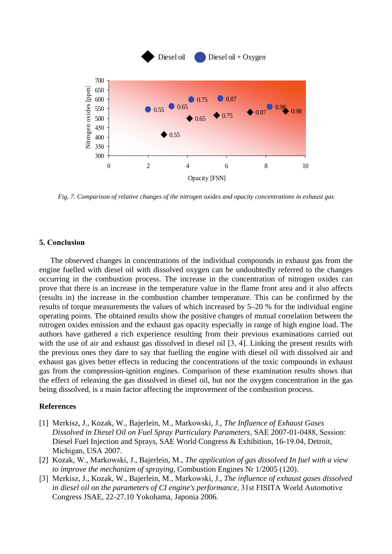

*Fig. 7. Comparison of relative changes of the nitrogen oxides and opacity concentrations in exhaust gas*

#### **5. Conclusion**

The observed changes in concentrations of the individual compounds in exhaust gas from the engine fuelled with diesel oil with dissolved oxygen can be undoubtedly referred to the changes occurring in the combustion process. The increase in the concentration of nitrogen oxides can prove that there is an increase in the temperature value in the flame front area and it also affects (results in) the increase in the combustion chamber temperature. This can be confirmed by the results of torque measurements the values of which increased by 5–20 % for the individual engine operating points. The obtained results show the positive changes of mutual correlation between the nitrogen oxides emission and the exhaust gas opacity especially in range of high engine load. The authors have gathered a rich experience resulting from their previous examinations carried out with the use of air and exhaust gas dissolved in diesel oil [3, 4]. Linking the present results with the previous ones they dare to say that fuelling the engine with diesel oil with dissolved air and exhaust gas gives better effects in reducing the concentrations of the toxic compounds in exhaust gas from the compression-ignition engines. Comparison of these examination results shows that the effect of releasing the gas dissolved in diesel oil, but not the oxygen concentration in the gas being dissolved, is a main factor affecting the improvement of the combustion process.

### **References**

- [1] Merkisz, J., Kozak, W., Bajerlein, M., Markowski, J., *The Influence of Exhaust Gases Dissolved in Diesel Oil on Fuel Spray Particulary Parameters,* SAE 2007-01-0488, Session: Diesel Fuel Injection and Sprays, SAE World Congress & Exhibition, 16-19.04, Detroit, Michigan, USA 2007.
- [2] Kozak, W., Markowski, J., Bajerlein, M., *The application of gas dissolved In fuel with a view to improve the mechanizm of spraying*, Combustion Engines Nr 1/2005 (120).
- [3] Merkisz, J., Kozak, W., Bajerlein, M., Markowski, J., *The influence of exhaust gases dissolved in diesel oil on the parameters of CI engine's performance*, 31st FISITA World Automotive Congress JSAE, 22-27.10 Yokohama, Japonia 2006.